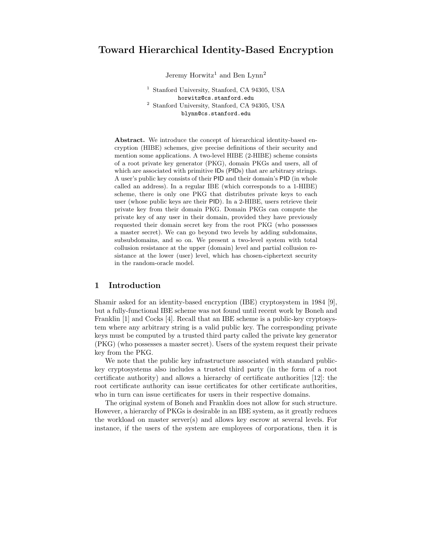# Toward Hierarchical Identity-Based Encryption

Jeremy Horwitz<sup>1</sup> and Ben Lynn<sup>2</sup>

<sup>1</sup> Stanford University, Stanford, CA 94305, USA horwitz@cs.stanford.edu <sup>2</sup> Stanford University, Stanford, CA 94305, USA blynn@cs.stanford.edu

Abstract. We introduce the concept of hierarchical identity-based encryption (HIBE) schemes, give precise definitions of their security and mention some applications. A two-level HIBE (2-HIBE) scheme consists of a root private key generator (PKG), domain PKGs and users, all of which are associated with primitive IDs (PIDs) that are arbitrary strings. A user's public key consists of their PID and their domain's PID (in whole called an address). In a regular IBE (which corresponds to a 1-HIBE) scheme, there is only one PKG that distributes private keys to each user (whose public keys are their PID). In a 2-HIBE, users retrieve their private key from their domain PKG. Domain PKGs can compute the private key of any user in their domain, provided they have previously requested their domain secret key from the root PKG (who possesses a master secret). We can go beyond two levels by adding subdomains, subsubdomains, and so on. We present a two-level system with total collusion resistance at the upper (domain) level and partial collusion resistance at the lower (user) level, which has chosen-ciphertext security in the random-oracle model.

# 1 Introduction

Shamir asked for an identity-based encryption (IBE) cryptosystem in 1984 [9], but a fully-functional IBE scheme was not found until recent work by Boneh and Franklin [1] and Cocks [4]. Recall that an IBE scheme is a public-key cryptosystem where any arbitrary string is a valid public key. The corresponding private keys must be computed by a trusted third party called the private key generator (PKG) (who possesses a master secret). Users of the system request their private key from the PKG.

We note that the public key infrastructure associated with standard publickey cryptosystems also includes a trusted third party (in the form of a root certificate authority) and allows a hierarchy of certificate authorities [12]: the root certificate authority can issue certificates for other certificate authorities, who in turn can issue certificates for users in their respective domains.

The original system of Boneh and Franklin does not allow for such structure. However, a hierarchy of PKGs is desirable in an IBE system, as it greatly reduces the workload on master server(s) and allows key escrow at several levels. For instance, if the users of the system are employees of corporations, then it is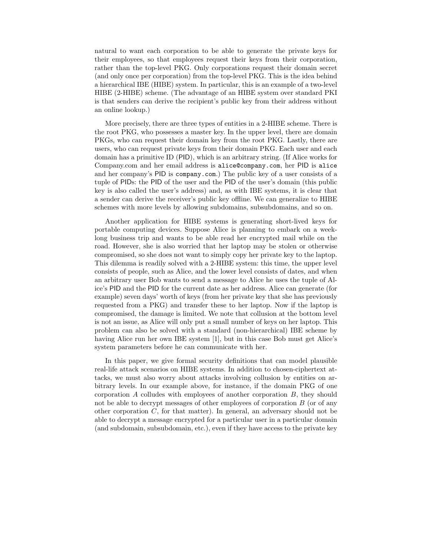natural to want each corporation to be able to generate the private keys for their employees, so that employees request their keys from their corporation, rather than the top-level PKG. Only corporations request their domain secret (and only once per corporation) from the top-level PKG. This is the idea behind a hierarchical IBE (HIBE) system. In particular, this is an example of a two-level HIBE (2-HIBE) scheme. (The advantage of an HIBE system over standard PKI is that senders can derive the recipient's public key from their address without an online lookup.)

More precisely, there are three types of entities in a 2-HIBE scheme. There is the root PKG, who possesses a master key. In the upper level, there are domain PKGs, who can request their domain key from the root PKG. Lastly, there are users, who can request private keys from their domain PKG. Each user and each domain has a primitive ID (PID), which is an arbitrary string. (If Alice works for Company.com and her email address is alice@company.com, her PID is alice and her company's PID is company.com.) The public key of a user consists of a tuple of PIDs: the PID of the user and the PID of the user's domain (this public key is also called the user's address) and, as with IBE systems, it is clear that a sender can derive the receiver's public key offline. We can generalize to HIBE schemes with more levels by allowing subdomains, subsubdomains, and so on.

Another application for HIBE systems is generating short-lived keys for portable computing devices. Suppose Alice is planning to embark on a weeklong business trip and wants to be able read her encrypted mail while on the road. However, she is also worried that her laptop may be stolen or otherwise compromised, so she does not want to simply copy her private key to the laptop. This dilemma is readily solved with a 2-HIBE system: this time, the upper level consists of people, such as Alice, and the lower level consists of dates, and when an arbitrary user Bob wants to send a message to Alice he uses the tuple of Alice's PID and the PID for the current date as her address. Alice can generate (for example) seven days' worth of keys (from her private key that she has previously requested from a PKG) and transfer these to her laptop. Now if the laptop is compromised, the damage is limited. We note that collusion at the bottom level is not an issue, as Alice will only put a small number of keys on her laptop. This problem can also be solved with a standard (non-hierarchical) IBE scheme by having Alice run her own IBE system [1], but in this case Bob must get Alice's system parameters before he can communicate with her.

In this paper, we give formal security definitions that can model plausible real-life attack scenarios on HIBE systems. In addition to chosen-ciphertext attacks, we must also worry about attacks involving collusion by entities on arbitrary levels. In our example above, for instance, if the domain PKG of one corporation A colludes with employees of another corporation B, they should not be able to decrypt messages of other employees of corporation  $B$  (or of any other corporation  $C$ , for that matter). In general, an adversary should not be able to decrypt a message encrypted for a particular user in a particular domain (and subdomain, subsubdomain, etc.), even if they have access to the private key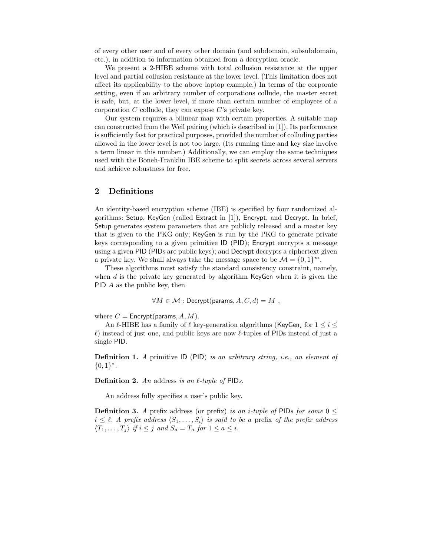of every other user and of every other domain (and subdomain, subsubdomain, etc.), in addition to information obtained from a decryption oracle.

We present a 2-HIBE scheme with total collusion resistance at the upper level and partial collusion resistance at the lower level. (This limitation does not affect its applicability to the above laptop example.) In terms of the corporate setting, even if an arbitrary number of corporations collude, the master secret is safe, but, at the lower level, if more than certain number of employees of a corporation  $C$  collude, they can expose  $C$ 's private key.

Our system requires a bilinear map with certain properties. A suitable map can constructed from the Weil pairing (which is described in [1]). Its performance is sufficiently fast for practical purposes, provided the number of colluding parties allowed in the lower level is not too large. (Its running time and key size involve a term linear in this number.) Additionally, we can employ the same techniques used with the Boneh-Franklin IBE scheme to split secrets across several servers and achieve robustness for free.

### 2 Definitions

An identity-based encryption scheme (IBE) is specified by four randomized algorithms: Setup, KeyGen (called Extract in [1]), Encrypt, and Decrypt. In brief, Setup generates system parameters that are publicly released and a master key that is given to the PKG only; KeyGen is run by the PKG to generate private keys corresponding to a given primitive ID (PID); Encrypt encrypts a message using a given PID (PIDs are public keys); and Decrypt decrypts a ciphertext given a private key. We shall always take the message space to be  $\mathcal{M} = \{0, 1\}^m$ .

These algorithms must satisfy the standard consistency constraint, namely, when  $d$  is the private key generated by algorithm KeyGen when it is given the PID A as the public key, then

 $\forall M \in \mathcal{M} : \mathsf{Decrypt}(\mathsf{params}, A, C, d) = M$ ,

where  $C =$  Encrypt(params, A, M).

An  $\ell$ -HIBE has a family of  $\ell$  key-generation algorithms (KeyGen<sub>i</sub> for  $1 \leq i \leq$  $\ell$ ) instead of just one, and public keys are now  $\ell$ -tuples of PIDs instead of just a single PID.

**Definition 1.** A primitive  $|D(P|D)$  is an arbitrary string, i.e., an element of  ${0,1}^*.$ 

**Definition 2.** An address is an  $\ell$ -tuple of PIDs.

An address fully specifies a user's public key.

**Definition 3.** A prefix address (or prefix) is an *i*-tuple of PIDs for some  $0 \leq$  $i \leq \ell$ . A prefix address  $\langle S_1, \ldots, S_i \rangle$  is said to be a prefix of the prefix address  $\langle T_1, \ldots, T_j \rangle$  if  $i \leq j$  and  $S_a = T_a$  for  $1 \leq a \leq i$ .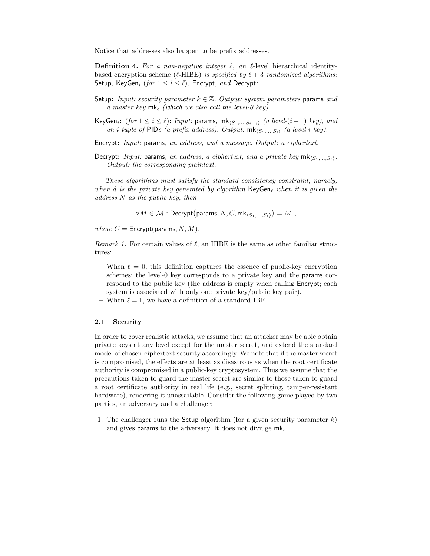Notice that addresses also happen to be prefix addresses.

**Definition 4.** For a non-negative integer  $\ell$ , an  $\ell$ -level hierarchical identitybased encryption scheme ( $\ell$ -HIBE) is specified by  $\ell + 3$  randomized algorithms: Setup, KeyGen<sub>i</sub> (for  $1 \leq i \leq \ell$ ), Encrypt, and Decrypt:

- Setup: Input: security parameter  $k \in \mathbb{Z}$ . Output: system parameters params and a master key  $mk_{\epsilon}$  (which we also call the level-0 key).
- KeyGen<sub>i</sub>: (for  $1 \le i \le \ell$ ): Input: params,  $mk_{\langle S_1,...,S_{i-1} \rangle}$  (a level-(i-1) key), and an i-tuple of PIDs (a prefix address). Output:  $mk_{\langle S_1,...,S_i\rangle}$  (a level-i key).
- Encrypt: Input: params, an address, and a message. Output: a ciphertext.
- Decrypt: Input: params, an address, a ciphertext, and a private key  $mk_{\langle S_1,...,S_\ell \rangle}$ . Output: the corresponding plaintext.

These algorithms must satisfy the standard consistency constraint, namely, when d is the private key generated by algorithm  $KeyGen_\ell$  when it is given the address  $N$  as the public key, then

 $\forall M \in \mathcal{M} : \mathsf{Decrypt}\big(\mathsf{params}, N, C, \mathsf{mk}_{\langle S_1,...,S_\ell \rangle}\big) = M\;,$ 

where  $C =$  Encrypt(params, N, M).

*Remark 1.* For certain values of  $\ell$ , an HIBE is the same as other familiar structures:

- When  $\ell = 0$ , this definition captures the essence of public-key encryption schemes: the level-0 key corresponds to a private key and the params correspond to the public key (the address is empty when calling Encrypt; each system is associated with only one private key/public key pair).
- When  $\ell = 1$ , we have a definition of a standard IBE.

### 2.1 Security

In order to cover realistic attacks, we assume that an attacker may be able obtain private keys at any level except for the master secret, and extend the standard model of chosen-ciphertext security accordingly. We note that if the master secret is compromised, the effects are at least as disastrous as when the root certificate authority is compromised in a public-key cryptosystem. Thus we assume that the precautions taken to guard the master secret are similar to those taken to guard a root certificate authority in real life (e.g., secret splitting, tamper-resistant hardware), rendering it unassailable. Consider the following game played by two parties, an adversary and a challenger:

1. The challenger runs the Setup algorithm (for a given security parameter  $k$ ) and gives params to the adversary. It does not divulge  $mk_{\epsilon}$ .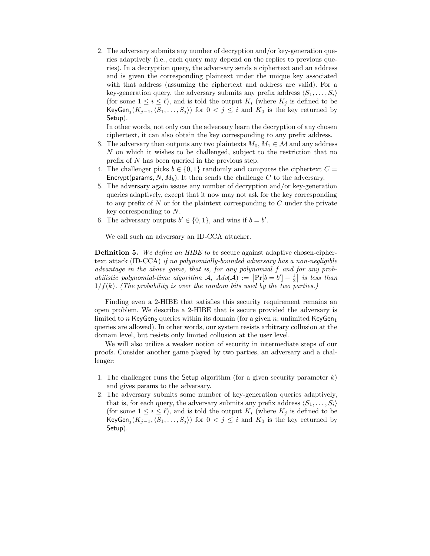2. The adversary submits any number of decryption and/or key-generation queries adaptively (i.e., each query may depend on the replies to previous queries). In a decryption query, the adversary sends a ciphertext and an address and is given the corresponding plaintext under the unique key associated with that address (assuming the ciphertext and address are valid). For a key-generation query, the adversary submits any prefix address  $\langle S_1, \ldots, S_i \rangle$ (for some  $1 \leq i \leq \ell$ ), and is told the output  $K_i$  (where  $K_j$  is defined to be KeyGen<sub>j</sub>  $(K_{j-1},\langle S_1,\ldots,S_j\rangle)$  for  $0 < j \leq i$  and  $K_0$  is the key returned by Setup).

In other words, not only can the adversary learn the decryption of any chosen ciphertext, it can also obtain the key corresponding to any prefix address.

- 3. The adversary then outputs any two plaintexts  $M_0, M_1 \in \mathcal{M}$  and any address N on which it wishes to be challenged, subject to the restriction that no prefix of N has been queried in the previous step.
- 4. The challenger picks  $b \in \{0, 1\}$  randomly and computes the ciphertext  $C =$ Encrypt(params,  $N$ ,  $M_b$ ). It then sends the challenge C to the adversary.
- 5. The adversary again issues any number of decryption and/or key-generation queries adaptively, except that it now may not ask for the key corresponding to any prefix of N or for the plaintext corresponding to  $C$  under the private key corresponding to N.
- 6. The adversary outputs  $b' \in \{0, 1\}$ , and wins if  $b = b'$ .

We call such an adversary an ID-CCA attacker.

**Definition 5.** We define an HIBE to be secure against adaptive chosen-ciphertext attack (ID-CCA) if no polynomially-bounded adversary has a non-negligible advantage in the above game, that is, for any polynomial f and for any probabilistic polynomial-time algorithm  $\mathcal{A}$ ,  $Adv(\mathcal{A}) := |\Pr[b = b'] - \frac{1}{2}|$  is less than  $1/f(k)$ . (The probability is over the random bits used by the two parties.)

Finding even a 2-HIBE that satisfies this security requirement remains an open problem. We describe a 2-HIBE that is secure provided the adversary is limited to n KeyGen<sub>2</sub> queries within its domain (for a given n; unlimited KeyGen<sub>1</sub> queries are allowed). In other words, our system resists arbitrary collusion at the domain level, but resists only limited collusion at the user level.

We will also utilize a weaker notion of security in intermediate steps of our proofs. Consider another game played by two parties, an adversary and a challenger:

- 1. The challenger runs the Setup algorithm (for a given security parameter  $k$ ) and gives params to the adversary.
- 2. The adversary submits some number of key-generation queries adaptively, that is, for each query, the adversary submits any prefix address  $\langle S_1, \ldots, S_i \rangle$ (for some  $1 \leq i \leq \ell$ ), and is told the output  $K_i$  (where  $K_j$  is defined to be KeyGen<sub>j</sub>  $(K_{j-1},\langle S_1,\ldots,S_j\rangle)$  for  $0 < j \leq i$  and  $K_0$  is the key returned by Setup).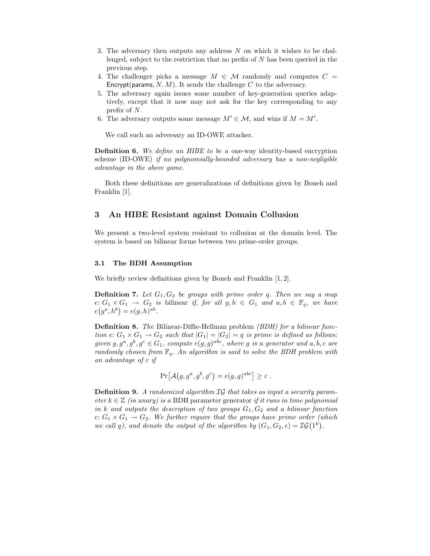- 3. The adversary then outputs any address N on which it wishes to be challenged, subject to the restriction that no prefix of  $N$  has been queried in the previous step.
- 4. The challenger picks a message  $M \in \mathcal{M}$  randomly and computes  $C =$ Encrypt(params,  $N, M$ ). It sends the challenge  $C$  to the adversary.
- 5. The adversary again issues some number of key-generation queries adaptively, except that it now may not ask for the key corresponding to any prefix of N.
- 6. The adversary outputs some message  $M' \in \mathcal{M}$ , and wins if  $M = M'$ .

We call such an adversary an ID-OWE attacker.

**Definition 6.** We define an HIBE to be a one-way identity-based encryption scheme (ID-OWE) if no polynomially-bounded adversary has a non-negligible advantage in the above game.

Both these definitions are generalizations of definitions given by Boneh and Franklin [1].

# 3 An HIBE Resistant against Domain Collusion

We present a two-level system resistant to collusion at the domain level. The system is based on bilinear forms between two prime-order groups.

### 3.1 The BDH Assumption

We briefly review definitions given by Boneh and Franklin [1, 2].

**Definition 7.** Let  $G_1, G_2$  be groups with prime order q. Then we say a map  $e: G_1 \times G_1 \rightarrow G_2$  is bilinear if, for all  $g, h \in G_1$  and  $a, b \in \mathbb{F}_q$ , we have  $e(g^a, h^b) = e(g, h)^{ab}.$ 

**Definition 8.** The Bilinear-Diffie-Hellman problem *(BDH)* for a bilinear function e:  $G_1 \times G_1 \rightarrow G_2$  such that  $|G_1| = |G_2| = q$  is prime is defined as follows: given  $g, g^a, g^b, g^c \in G_1$ , compute  $e(g, g)^{abc}$ , where g is a generator and  $a, b, c$  are randomly chosen from  $\mathbb{F}_q$ . An algorithm is said to solve the BDH problem with an advantage of  $\varepsilon$  if

$$
\Pr[\mathcal{A}(g, g^a, g^b, g^c) = e(g, g)^{abc}] \geq \varepsilon.
$$

**Definition 9.** A randomized algorithm  $IG$  that takes as input a security parameter  $k \in \mathbb{Z}$  (in unary) is a BDH parameter generator if it runs in time polynomial in k and outputs the description of two groups  $G_1, G_2$  and a bilinear function e:  $G_1 \times G_1 \rightarrow G_2$ . We further require that the groups have prime order (which we call q), and denote the output of the algorithm by  $(G_1, G_2, e) = \mathcal{IG}(1^k)$ .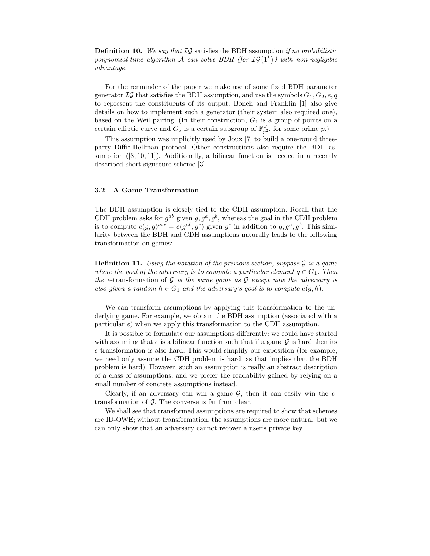**Definition 10.** We say that  $IG$  satisfies the BDH assumption if no probabilistic polynomial-time algorithm A can solve BDH (for  $IG(1<sup>k</sup>)$ ) with non-negligible advantage.

For the remainder of the paper we make use of some fixed BDH parameter generator  $\mathcal{IG}$  that satisfies the BDH assumption, and use the symbols  $G_1, G_2, e, q$ to represent the constituents of its output. Boneh and Franklin [1] also give details on how to implement such a generator (their system also required one), based on the Weil pairing. (In their construction,  $G_1$  is a group of points on a certain elliptic curve and  $G_2$  is a certain subgroup of  $\mathbb{F}_{p^2}^{\times}$ , for some prime p.)

This assumption was implicitly used by Joux [7] to build a one-round threeparty Diffie-Hellman protocol. Other constructions also require the BDH assumption  $([8, 10, 11])$ . Additionally, a bilinear function is needed in a recently described short signature scheme [3].

#### 3.2 A Game Transformation

The BDH assumption is closely tied to the CDH assumption. Recall that the CDH problem asks for  $g^{ab}$  given  $g, g^a, g^b$ , whereas the goal in the CDH problem is to compute  $e(g, g)^{abc} = e(g^{ab}, g^c)$  given  $g^c$  in addition to  $g, g^a, g^b$ . This similarity between the BDH and CDH assumptions naturally leads to the following transformation on games:

**Definition 11.** Using the notation of the previous section, suppose  $\mathcal{G}$  is a game where the goal of the adversary is to compute a particular element  $g \in G_1$ . Then the e-transformation of  $G$  is the same game as  $G$  except now the adversary is also given a random  $h \in G_1$  and the adversary's goal is to compute  $e(g, h)$ .

We can transform assumptions by applying this transformation to the underlying game. For example, we obtain the BDH assumption (associated with a particular e) when we apply this transformation to the CDH assumption.

It is possible to formulate our assumptions differently: we could have started with assuming that e is a bilinear function such that if a game  $\mathcal G$  is hard then its e-transformation is also hard. This would simplify our exposition (for example, we need only assume the CDH problem is hard, as that implies that the BDH problem is hard). However, such an assumption is really an abstract description of a class of assumptions, and we prefer the readability gained by relying on a small number of concrete assumptions instead.

Clearly, if an adversary can win a game  $G$ , then it can easily win the  $e$ transformation of  $\mathcal G$ . The converse is far from clear.

We shall see that transformed assumptions are required to show that schemes are ID-OWE; without transformation, the assumptions are more natural, but we can only show that an adversary cannot recover a user's private key.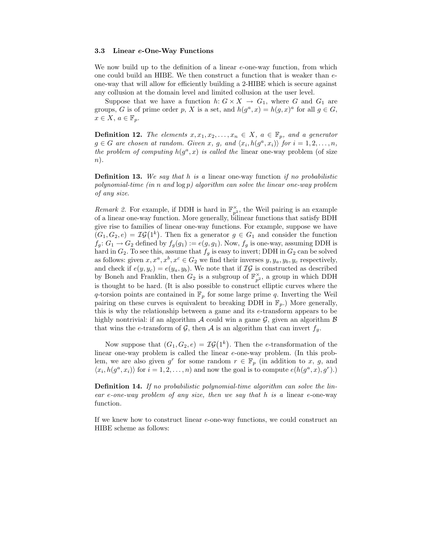### 3.3 Linear e-One-Way Functions

We now build up to the definition of a linear e-one-way function, from which one could build an HIBE. We then construct a function that is weaker than eone-way that will allow for efficiently building a 2-HIBE which is secure against any collusion at the domain level and limited collusion at the user level.

Suppose that we have a function  $h: G \times X \to G_1$ , where G and  $G_1$  are groups, G is of prime order p, X is a set, and  $h(g^a, x) = h(g, x)^a$  for all  $g \in G$ ,  $x \in X, a \in \mathbb{F}_n$ .

**Definition 12.** The elements  $x, x_1, x_2, \ldots, x_n \in X$ ,  $a \in \mathbb{F}_p$ , and a generator  $g \in G$  are chosen at random. Given x, g, and  $\langle x_i, h(g^a, x_i) \rangle$  for  $i = 1, 2, \ldots, n$ , the problem of computing  $h(g^a, x)$  is called the linear one-way problem (of size  $n$ ).

**Definition 13.** We say that h is a linear one-way function if no probabilistic polynomial-time (in n and  $\log p$ ) algorithm can solve the linear one-way problem of any size.

Remark 2. For example, if DDH is hard in  $\mathbb{F}_{p^2}^{\times}$ , the Weil pairing is an example of a linear one-way function. More generally, bilinear functions that satisfy BDH give rise to families of linear one-way functions. For example, suppose we have  $(G_1, G_2, e) = \mathcal{IG}(1^k)$ . Then fix a generator  $g \in G_1$  and consider the function  $f_g: G_1 \to G_2$  defined by  $f_g(g_1) := e(g, g_1)$ . Now,  $f_g$  is one-way, assuming DDH is hard in  $G_2$ . To see this, assume that  $f_g$  is easy to invert; DDH in  $G_2$  can be solved as follows: given  $x, x^a, x^b, x^c \in G_2$  we find their inverses  $y, y_a, y_b, y_c$  respectively, and check if  $e(y, y_c) = e(y_a, y_b)$ . We note that if  $\mathcal{IG}$  is constructed as described by Boneh and Franklin, then  $G_2$  is a subgroup of  $\mathbb{F}_{p^2}^{\times}$ , a group in which DDH is thought to be hard. (It is also possible to construct elliptic curves where the q-torsion points are contained in  $\mathbb{F}_p$  for some large prime q. Inverting the Weil pairing on these curves is equivalent to breaking DDH in  $\mathbb{F}_p$ .) More generally, this is why the relationship between a game and its e-transform appears to be highly nontrivial: if an algorithm  $A$  could win a game  $G$ , given an algorithm  $B$ that wins the e-transform of  $\mathcal{G}$ , then  $\mathcal{A}$  is an algorithm that can invert  $f_q$ .

Now suppose that  $(G_1, G_2, e) = \mathcal{IG}(1^k)$ . Then the e-transformation of the linear one-way problem is called the linear e-one-way problem. (In this problem, we are also given  $g^r$  for some random  $r \in \mathbb{F}_p$  (in addition to x, g, and  $\langle x_i, h(g^a, x_i) \rangle$  for  $i = 1, 2, ..., n$ ) and now the goal is to compute  $e(h(g^a, x), g^r)$ .

Definition 14. If no probabilistic polynomial-time algorithm can solve the linear e-one-way problem of any size, then we say that h is a linear e-one-way function.

If we knew how to construct linear e-one-way functions, we could construct an HIBE scheme as follows: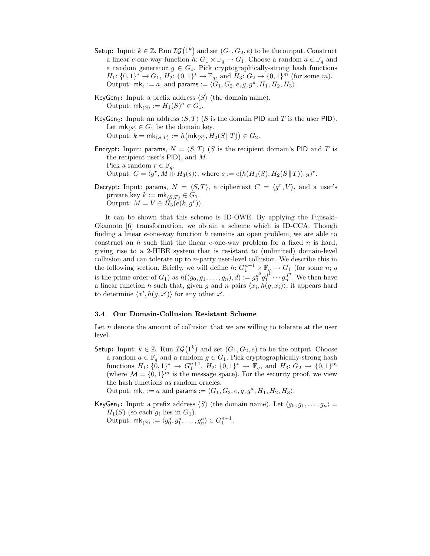- Setup: Input:  $k \in \mathbb{Z}$ . Run  $\mathcal{IG}(1^k)$  and set  $(G_1, G_2, e)$  to be the output. Construct a linear e-one-way function  $h: G_1 \times \mathbb{F}_q \to G_1$ . Choose a random  $a \in \mathbb{F}_q$  and a random generator  $g \in G_1$ . Pick cryptographically-strong hash functions  $H_1: \{0,1\}^* \to G_1, H_2: \{0,1\}^* \to \mathbb{F}_q$ , and  $H_3: G_2 \to \{0,1\}^m$  (for some m). Output:  $mk_{\epsilon} := a$ , and params  $:= \langle G_1, G_2, e, g, g^a, H_1, H_2, H_3 \rangle$ .
- KeyGen<sub>1</sub>: Input: a prefix address  $\langle S \rangle$  (the domain name). Output:  $\mathsf{mk}_{\langle S \rangle} := H_1(S)^a \in G_1.$
- KeyGen<sub>2</sub>: Input: an address  $\langle S, T \rangle$  (S is the domain PID and T is the user PID). Let  $mk_{\langle S \rangle} \in G_1$  be the domain key. Output:  $k = \mathsf{mk}_{\langle S,T \rangle} := h(\mathsf{mk}_{\langle S \rangle}, H_2(S \Vert T)) \in G_2.$
- Encrypt: Input: params,  $N = \langle S, T \rangle$  (S is the recipient domain's PID and T is the recipient user's PID), and M. Pick a random  $r \in \mathbb{F}_q$ . Output:  $C = \langle g^r, M \oplus H_3(s) \rangle$ , where  $s := e(h(H_1(S), H_2(S \parallel T)), g)^r$ .
- Decrypt: Input: params,  $N = \langle S, T \rangle$ , a ciphertext  $C = \langle g^r, V \rangle$ , and a user's private key  $k := \mathsf{mk}_{\langle S,T \rangle} \in G_1$ . Output:  $M = V \oplus H_3(e(k, g^r))$ .

It can be shown that this scheme is ID-OWE. By applying the Fujisaki-Okamoto [6] transformation, we obtain a scheme which is ID-CCA. Though finding a linear e-one-way function  $h$  remains an open problem, we are able to construct an h such that the linear e-one-way problem for a fixed n is hard, giving rise to a 2-HIBE system that is resistant to (unlimited) domain-level collusion and can tolerate up to n-party user-level collusion. We describe this in the following section. Briefly, we will define  $h: G_1^{n+1} \times \mathbb{F}_q \to G_1$  (for some n; q is the prime order of  $G_1$ ) as  $h((g_0, g_1, \ldots, g_n), d) := g_0^{d^0} g_1^{d^1} \cdots g_n^{d^n}$ . We then have a linear function h such that, given g and n pairs  $\langle x_i, h(g, x_i) \rangle$ , it appears hard to determine  $\langle x', h(g, x') \rangle$  for any other x'.

### 3.4 Our Domain-Collusion Resistant Scheme

Let  $n$  denote the amount of collusion that we are willing to tolerate at the user level.

Setup: Input:  $k \in \mathbb{Z}$ . Run  $\mathcal{IG}(1^k)$  and set  $(G_1, G_2, e)$  to be the output. Choose a random  $a \in \mathbb{F}_q$  and a random  $g \in G_1$ . Pick cryptographically-strong hash functions  $H_1: \{0,1\}^* \to G_1^{n+1}, H_2: \{0,1\}^* \to \mathbb{F}_q$ , and  $H_3: G_2 \to \{0,1\}^m$ (where  $\mathcal{M} = \{0, 1\}^m$  is the message space). For the security proof, we view the hash functions as random oracles.

Output:  $mk_{\epsilon} := a$  and params  $:= \langle G_1, G_2, e, g, g^a, H_1, H_2, H_3 \rangle$ .

KeyGen<sub>1</sub>: Input: a prefix address  $\langle S \rangle$  (the domain name). Let  $\langle g_0, g_1, \ldots, g_n \rangle =$  $H_1(S)$  (so each  $g_i$  lies in  $G_1$ ). Output:  $\mathsf{mk}_{\langle S \rangle} := \langle g_0^a, g_1^a, \dots, g_n^a \rangle \in G_1^{n+1}.$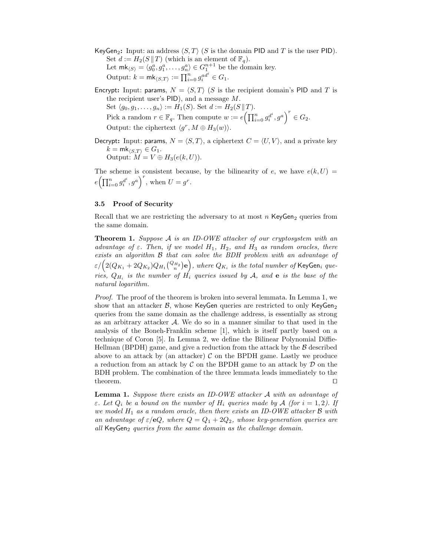- KeyGen<sub>2</sub>: Input: an address  $\langle S, T \rangle$  (S is the domain PID and T is the user PID). Set  $d := H_2(S \parallel T)$  (which is an element of  $\mathbb{F}_q$ ). Let  $mk_{\langle S \rangle} = \langle g_0^a, g_1^a, \dots, g_n^a \rangle \in G_1^{n+1}$  be the domain key. Output:  $k = \mathsf{mk}_{\langle S,T \rangle} := \prod_{i=0}^n g_i^{ad^i} \in G_1$ .
- Encrypt: Input: params,  $N = \langle S, T \rangle$  (S is the recipient domain's PID and T is the recipient user's PID), and a message M. Set  $\langle g_0, g_1, \ldots, g_n \rangle := H_1(S)$ . Set  $d := H_2(S || T)$ . Pick a random  $r \in \mathbb{F}_q$ . Then compute  $w := e \left( \prod_{i=0}^n g_i^{d^i}, g^a \right)^r \in G_2$ . Output: the ciphertext  $\langle g^r, M \oplus H_3(w) \rangle$ .
- Decrypt: Input: params,  $N = \langle S, T \rangle$ , a ciphertext  $C = \langle U, V \rangle$ , and a private key  $k = m\mathsf{k}_{\langle S,T\rangle} \in G_1.$ Output:  $M = V \oplus H_3(e(k, U)).$

The scheme is consistent because, by the bilinearity of e, we have  $e(k, U)$  =  $e\left(\prod_{i=0}^n g_i^{d^i}, g^a\right)^r$ , when  $U = g^r$ .

## 3.5 Proof of Security

Recall that we are restricting the adversary to at most  $n$  KeyGen<sub>2</sub> queries from the same domain.

Theorem 1. Suppose A is an ID-OWE attacker of our cryptosystem with an advantage of  $\varepsilon$ . Then, if we model  $H_1$ ,  $H_2$ , and  $H_3$  as random oracles, there exists an algorithm B that can solve the BDH problem with an advantage of  $\varepsilon/\Big(2(Q_{K_1}+2Q_{K_2})Q_{H_1}\binom{Q_{H_2}}{n})$ e $\Big),$  where  $Q_{K_i}$  is the total number of <code>KeyGen</code> $_i$  <code>que-</code> ries,  $Q_{H_i}$  is the number of  $H_i$  queries issued by A, and **e** is the base of the natural logarithm.

Proof. The proof of the theorem is broken into several lemmata. In Lemma 1, we show that an attacker  $\beta$ , whose KeyGen queries are restricted to only KeyGen<sub>2</sub> queries from the same domain as the challenge address, is essentially as strong as an arbitrary attacker  $A$ . We do so in a manner similar to that used in the analysis of the Boneh-Franklin scheme [1], which is itself partly based on a technique of Coron [5]. In Lemma 2, we define the Bilinear Polynomial Diffie-Hellman (BPDH) game, and give a reduction from the attack by the  $\beta$  described above to an attack by (an attacker)  $\mathcal C$  on the BPDH game. Lastly we produce a reduction from an attack by  $\mathcal C$  on the BPDH game to an attack by  $\mathcal D$  on the BDH problem. The combination of the three lemmata leads immediately to the theorem.  $\Box$ 

Lemma 1. Suppose there exists an ID-OWE attacker A with an advantage of  $\varepsilon$ . Let  $Q_i$  be a bound on the number of  $H_i$  queries made by A (for  $i = 1, 2$ ). If we model  $H_1$  as a random oracle, then there exists an ID-OWE attacker  $\beta$  with an advantage of  $\varepsilon/\mathbf{e}Q$ , where  $Q = Q_1 + 2Q_2$ , whose key-generation queries are all  $KeyGen_2$  queries from the same domain as the challenge domain.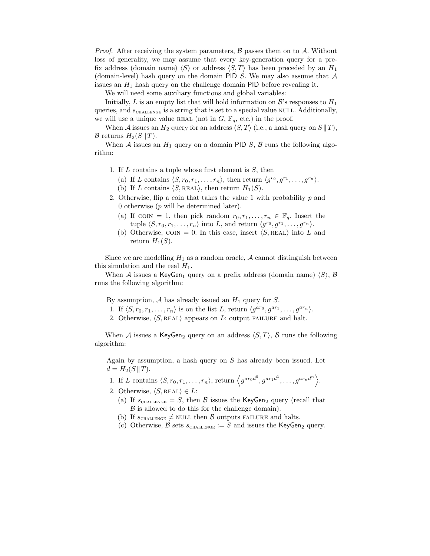*Proof.* After receiving the system parameters,  $\beta$  passes them on to  $\mathcal{A}$ . Without loss of generality, we may assume that every key-generation query for a prefix address (domain name)  $\langle S \rangle$  or address  $\langle S, T \rangle$  has been preceded by an  $H_1$ (domain-level) hash query on the domain PID  $S$ . We may also assume that  $A$ issues an  $H_1$  hash query on the challenge domain PID before revealing it.

We will need some auxiliary functions and global variables:

Initially, L is an empty list that will hold information on  $\mathcal{B}$ 's responses to  $H_1$ queries, and  $s_{\text{CHALLENGE}}$  is a string that is set to a special value NULL. Additionally, we will use a unique value REAL (not in  $G$ ,  $\mathbb{F}_q$ , etc.) in the proof.

When A issues an  $H_2$  query for an address  $\langle S, T \rangle$  (i.e., a hash query on  $S \| T$ ),  $\mathcal{B}$  returns  $H_2(S \parallel T)$ .

When A issues an  $H_1$  query on a domain PID S, B runs the following algorithm:

- 1. If  $L$  contains a tuple whose first element is  $S$ , then
	- (a) If L contains  $\langle S, r_0, r_1, \ldots, r_n \rangle$ , then return  $\langle g^{r_0}, g^{r_1}, \ldots, g^{r_n} \rangle$ . (b) If L contains  $\langle S, \text{REAL} \rangle$ , then return  $H_1(S)$ .
- 2. Otherwise, flip a coin that takes the value 1 with probability  $p$  and 0 otherwise (p will be determined later).
	- (a) If COIN = 1, then pick random  $r_0, r_1, \ldots, r_n \in \mathbb{F}_q$ . Insert the tuple  $\langle S, r_0, r_1, \ldots, r_n \rangle$  into L, and return  $\langle g^{r_0}, g^{r_1}, \ldots, g^{r_n} \rangle$ .
	- (b) Otherwise, COIN = 0. In this case, insert  $\langle S, \text{ReAL} \rangle$  into L and return  $H_1(S)$ .

Since we are modelling  $H_1$  as a random oracle, A cannot distinguish between this simulation and the real  $H_1$ .

When A issues a KeyGen<sub>1</sub> query on a prefix address (domain name)  $\langle S \rangle$ , B runs the following algorithm:

By assumption,  $A$  has already issued an  $H_1$  query for  $S$ .

- 1. If  $\langle S, r_0, r_1, \ldots, r_n \rangle$  is on the list L, return  $\langle g^{ar_0}, g^{ar_1}, \ldots, g^{ar_n} \rangle$ .
- 2. Otherwise,  $\langle S, \text{REAL} \rangle$  appears on L: output FAILURE and halt.

When A issues a KeyGen<sub>2</sub> query on an address  $\langle S, T \rangle$ , B runs the following algorithm:

Again by assumption, a hash query on  $S$  has already been issued. Let  $d = H_2(S || T).$ 

- 1. If L contains  $\langle S, r_0, r_1, \ldots, r_n \rangle$ , return  $\langle g^{ar_0d^0}, g^{ar_1d^1}, \ldots, g^{ar_nd^n} \rangle$ .
- 2. Otherwise,  $\langle S, \text{REAL} \rangle \in L$ :
	- (a) If  $s_{\text{CHALENGE}} = S$ , then B issues the KeyGen<sub>2</sub> query (recall that  $\beta$  is allowed to do this for the challenge domain).
	- (b) If  $s_{\text{CHALERGE}} \neq \text{NULL}$  then B outputs FAILURE and halts.
	- (c) Otherwise, B sets  $s_{\text{CHALENCE}} := S$  and issues the KeyGen<sub>2</sub> query.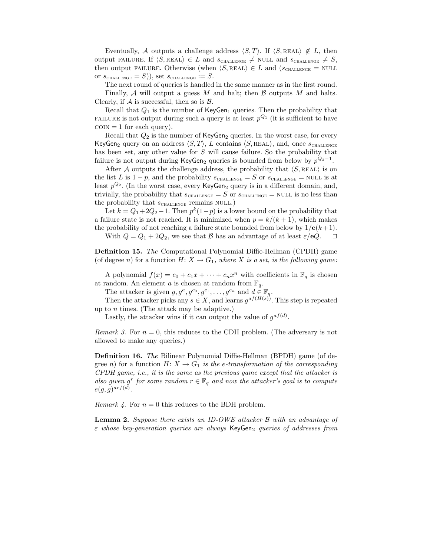Eventually, A outputs a challenge address  $\langle S, T \rangle$ . If  $\langle S, \text{ReAL} \rangle \notin L$ , then output FAILURE. If  $\langle S, \text{REAL} \rangle \in L$  and  $s_{\text{CHALLENCE}} \neq \text{NULL}$  and  $s_{\text{CHALLENCE}} \neq S$ , then output FAILURE. Otherwise (when  $\langle S, \text{REAL} \rangle \in L$  and  $(s_{\text{CHALENSE}} = \text{NULL}$ or  $s_{\text{CHALLENCE}} = S$ ), set  $s_{\text{CHALLENCE}} := S$ .

The next round of queries is handled in the same manner as in the first round. Finally,  $A$  will output a guess  $M$  and halt; then  $B$  outputs  $M$  and halts. Clearly, if  $\mathcal A$  is successful, then so is  $\mathcal B$ .

Recall that  $Q_1$  is the number of KeyGen<sub>1</sub> queries. Then the probability that FAILURE is not output during such a query is at least  $p^{Q_1}$  (it is sufficient to have  $\text{CON} = 1$  for each query).

Recall that  $Q_2$  is the number of  $KeyGen_2$  queries. In the worst case, for every KeyGen<sub>2</sub> query on an address  $\langle S, T \rangle$ , L contains  $\langle S, \text{REAL} \rangle$ , and, once  $s_{\text{CHALERGE}}$ has been set, any other value for S will cause failure. So the probability that failure is not output during KeyGen<sub>2</sub> queries is bounded from below by  $p^{Q_2-1}$ .

After A outputs the challenge address, the probability that  $\langle S, \text{REAL} \rangle$  is on the list L is  $1 - p$ , and the probability  $s_{\text{CHALENSE}} = S$  or  $s_{\text{CHALENCE}} = \text{NULL}$  is at least  $p^{Q_2}$ . (In the worst case, every  $KeyGen_2$  query is in a different domain, and, trivially, the probability that  $s_{\text{CHALENSE}} = S$  or  $s_{\text{CHALENSE}} = \text{NULL}$  is no less than the probability that  $s_{\text{CHALENSE}}$  remains NULL.)

Let  $k = Q_1 + 2Q_2 - 1$ . Then  $p^k(1-p)$  is a lower bound on the probability that a failure state is not reached. It is minimized when  $p = k/(k+1)$ , which makes the probability of not reaching a failure state bounded from below by  $1/e(k+1)$ .

With  $Q = Q_1 + 2Q_2$ , we see that  $\beta$  has an advantage of at least  $\varepsilon/\mathbf{e}Q$ .  $\square$ 

Definition 15. The Computational Polynomial Diffie-Hellman (CPDH) game (of degree n) for a function  $H: X \to G_1$ , where X is a set, is the following game:

A polynomial  $f(x) = c_0 + c_1 x + \cdots + c_n x^n$  with coefficients in  $\mathbb{F}_q$  is chosen at random. An element a is chosen at random from  $\mathbb{F}_q$ .

The attacker is given  $g, g^a, g^{c_0}, g^{c_1}, \ldots, g^{c_n}$  and  $d \in \mathbb{F}_q$ .

Then the attacker picks any  $s \in X$ , and learns  $g^{af(H(s))}$ . This step is repeated up to  $n$  times. (The attack may be adaptive.)

Lastly, the attacker wins if it can output the value of  $g^{af(d)}$ .

*Remark 3.* For  $n = 0$ , this reduces to the CDH problem. (The adversary is not allowed to make any queries.)

Definition 16. The Bilinear Polynomial Diffie-Hellman (BPDH) game (of degree n) for a function  $H: X \to G_1$  is the e-transformation of the corresponding CPDH game, i.e., it is the same as the previous game except that the attacker is also given g<sup>r</sup> for some random  $r \in \mathbb{F}_q$  and now the attacker's goal is to compute  $e(g,g)^{arf(d)}$ .

*Remark 4.* For  $n = 0$  this reduces to the BDH problem.

**Lemma 2.** Suppose there exists an ID-OWE attacker  $\beta$  with an advantage of  $\varepsilon$  whose key-generation queries are always KeyGen<sub>2</sub> queries of addresses from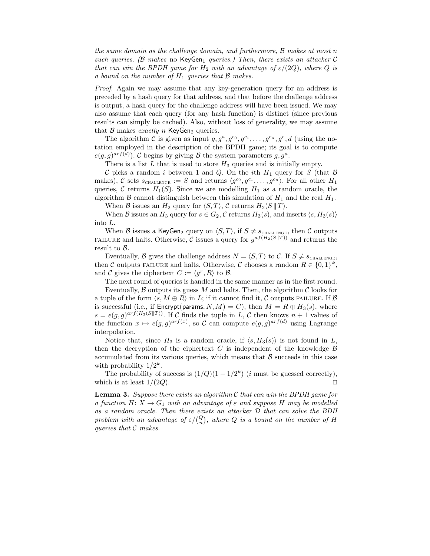the same domain as the challenge domain, and furthermore, B makes at most n such queries. (B makes no KeyGen<sub>1</sub> queries.) Then, there exists an attacker C that can win the BPDH game for  $H_2$  with an advantage of  $\varepsilon/(2Q)$ , where Q is a bound on the number of  $H_1$  queries that  $\beta$  makes.

Proof. Again we may assume that any key-generation query for an address is preceded by a hash query for that address, and that before the challenge address is output, a hash query for the challenge address will have been issued. We may also assume that each query (for any hash function) is distinct (since previous results can simply be cached). Also, without loss of generality, we may assume that  $\beta$  makes exactly n KeyGen<sub>2</sub> queries.

The algorithm C is given as input  $g, g^a, g^{c_0}, g^{c_1}, \ldots, g^{c_n}, g^r, d$  (using the notation employed in the description of the BPDH game; its goal is to compute  $e(g,g)^{arf(d)}$ ). C begins by giving B the system parameters  $g, g^a$ .

There is a list  $L$  that is used to store  $H_3$  queries and is initially empty.

C picks a random i between 1 and Q. On the ith  $H_1$  query for S (that B) makes), C sets  $s_{\text{CHALLENGE}} := S$  and returns  $\langle g^{c_0}, g^{c_1}, \ldots, g^{c_n} \rangle$ . For all other  $H_1$ queries, C returns  $H_1(S)$ . Since we are modelling  $H_1$  as a random oracle, the algorithm B cannot distinguish between this simulation of  $H_1$  and the real  $H_1$ .

When B issues an  $H_2$  query for  $\langle S, T \rangle$ , C returns  $H_2(S || T)$ .

When B issues an  $H_3$  query for  $s \in G_2$ , C returns  $H_3(s)$ , and inserts  $\langle s, H_3(s) \rangle$ into L.

When  $\mathcal B$  issues a KeyGen<sub>2</sub> query on  $\langle S, T \rangle$ , if  $S \neq s_{\text{\tiny{CHALENGE}}},$  then  $\mathcal C$  outputs FAILURE and halts. Otherwise, C issues a query for  $g^{af(H_2(S||T))}$  and returns the result to  $\beta$ .

Eventually, B gives the challenge address  $N = \langle S, T \rangle$  to C. If  $S \neq s_{\text{CHALENGE}}$ , then C outputs FAILURE and halts. Otherwise, C chooses a random  $R \in \{0,1\}^k$ , and C gives the ciphertext  $C := \langle g^r, R \rangle$  to B.

The next round of queries is handled in the same manner as in the first round.

Eventually,  $\beta$  outputs its guess M and halts. Then, the algorithm  $\mathcal C$  looks for a tuple of the form  $\langle s, M \oplus R \rangle$  in L; if it cannot find it, C outputs FAILURE. If B is successful (i.e., if Encrypt(params,  $N, M$ ) = C), then  $M = R \oplus H_3(s)$ , where  $s = e(g, g)^{arf(H_2(S||T))}$ . If C finds the tuple in L, C then knows  $n + 1$  values of the function  $x \mapsto e(g, g)^{arf(x)}$ , so C can compute  $e(g, g)^{arf(d)}$  using Lagrange interpolation.

Notice that, since  $H_3$  is a random oracle, if  $\langle s, H_3(s) \rangle$  is not found in L, then the decryption of the ciphertext  $C$  is independent of the knowledge  $\beta$ accumulated from its various queries, which means that  $\beta$  succeeds in this case with probability  $1/2^k$ .

The probability of success is  $(1/Q)(1-1/2^k)$  (*i* must be guessed correctly), which is at least  $1/(2Q)$ .

**Lemma 3.** Suppose there exists an algorithm C that can win the BPDH game for a function  $H: X \to G_1$  with an advantage of  $\varepsilon$  and suppose H may be modelled as a random oracle. Then there exists an attacker D that can solve the BDH problem with an advantage of  $\varepsilon/{Q \choose n}$ , where Q is a bound on the number of H queries that C makes.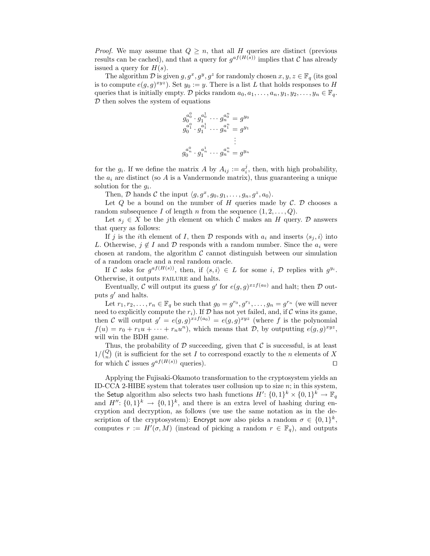*Proof.* We may assume that  $Q \geq n$ , that all H queries are distinct (previous results can be cached), and that a query for  $g^{af(H(s))}$  implies that C has already issued a query for  $H(s)$ .

The algorithm  $\mathcal D$  is given  $g, g^x, g^y, g^z$  for randomly chosen  $x, y, z \in \mathbb F_q$  (its goal is to compute  $e(g, g)^{xyz}$ ). Set  $y_0 := y$ . There is a list L that holds responses to H queries that is initially empty. D picks random  $a_0, a_1, \ldots, a_n, y_1, y_2, \ldots, y_n \in \mathbb{F}_q$ .  $D$  then solves the system of equations

$$
g_0^{a_0^0} \cdot g_1^{a_0^1} \cdots g_n^{a_0^n} = g^{y_0}
$$
  

$$
g_0^{a_1^0} \cdot g_1^{a_1^1} \cdots g_n^{a_1^n} = g^{y_1}
$$
  

$$
\vdots
$$
  

$$
g_0^{a_n^0} \cdot g_1^{a_n^1} \cdots g_n^{a_n^n} = g^{y_n}
$$

for the  $g_i$ . If we define the matrix A by  $A_{ij} := a_i^j$ , then, with high probability, the  $a_i$  are distinct (so A is a Vandermonde matrix), thus guaranteeing a unique solution for the  $g_i$ .

Then, D hands C the input  $\langle g, g^x, g_0, g_1, \ldots, g_n, g^z, a_0 \rangle$ .

Let  $Q$  be a bound on the number of  $H$  queries made by  $C$ .  $D$  chooses a random subsequence I of length n from the sequence  $(1, 2, \ldots, Q)$ .

Let  $s_i \in X$  be the j<sup>th</sup> element on which C makes an H query. D answers that query as follows:

If j is the ith element of I, then D responds with  $a_i$  and inserts  $\langle s_i, i \rangle$  into L. Otherwise,  $j \notin I$  and  $D$  responds with a random number. Since the  $a_i$  were chosen at random, the algorithm  $\mathcal C$  cannot distinguish between our simulation of a random oracle and a real random oracle.

If C asks for  $g^{af(H(s))}$ , then, if  $\langle s,i \rangle \in L$  for some i, D replies with  $g^{y_i}$ . Otherwise, it outputs failure and halts.

Eventually, C will output its guess g' for  $e(g, g)^{xz} f^{(a_0)}$  and halt; then D outputs  $g'$  and halts.

Let  $r_1, r_2, \ldots, r_n \in \mathbb{F}_q$  be such that  $g_0 = g^{r_0}, g^{r_1}, \ldots, g_n = g^{r_n}$  (we will never need to explicitly compute the  $r_i$ ). If  $D$  has not yet failed, and, if  $C$  wins its game, then C will output  $g' = e(g, g)^{xz} f^{(a_0)} = e(g, g)^{xyz}$  (where f is the polynomial  $f(u) = r_0 + r_1u + \cdots + r_nu^n$ , which means that  $\mathcal{D}$ , by outputting  $e(g, g)^{xyz}$ , will win the BDH game.

Thus, the probability of  $\mathcal D$  succeeding, given that  $\mathcal C$  is successful, is at least  $1/{\binom{Q}{n}}$  (it is sufficient for the set I to correspond exactly to the n elements of X for which C issues  $g^{af(H(s))}$  queries).

Applying the Fujisaki-Okamoto transformation to the cryptosystem yields an ID-CCA 2-HIBE system that tolerates user collusion up to size  $n$ ; in this system, the Setup algorithm also selects two hash functions  $H'$ :  $\{0,1\}^k \times \{0,1\}^k \to \mathbb{F}_q$ and  $H'': \{0,1\}^k \to \{0,1\}^k$ , and there is an extra level of hashing during encryption and decryption, as follows (we use the same notation as in the description of the cryptosystem): Encrypt now also picks a random  $\sigma \in \{0,1\}^k$ , computes  $r := H'(\sigma, M)$  (instead of picking a random  $r \in \mathbb{F}_q$ ), and outputs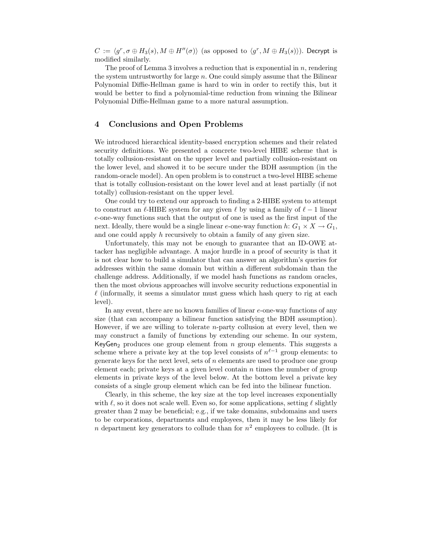$C := \langle g^r, \sigma \oplus H_3(s), M \oplus H''(\sigma) \rangle$  (as opposed to  $\langle g^r, M \oplus H_3(s) \rangle$ ). Decrypt is modified similarly.

The proof of Lemma 3 involves a reduction that is exponential in  $n$ , rendering the system untrustworthy for large  $n$ . One could simply assume that the Bilinear Polynomial Diffie-Hellman game is hard to win in order to rectify this, but it would be better to find a polynomial-time reduction from winning the Bilinear Polynomial Diffie-Hellman game to a more natural assumption.

## 4 Conclusions and Open Problems

We introduced hierarchical identity-based encryption schemes and their related security definitions. We presented a concrete two-level HIBE scheme that is totally collusion-resistant on the upper level and partially collusion-resistant on the lower level, and showed it to be secure under the BDH assumption (in the random-oracle model). An open problem is to construct a two-level HIBE scheme that is totally collusion-resistant on the lower level and at least partially (if not totally) collusion-resistant on the upper level.

One could try to extend our approach to finding a 2-HIBE system to attempt to construct an  $\ell$ -HIBE system for any given  $\ell$  by using a family of  $\ell - 1$  linear e-one-way functions such that the output of one is used as the first input of the next. Ideally, there would be a single linear e-one-way function h:  $G_1 \times X \to G_1$ , and one could apply h recursively to obtain a family of any given size.

Unfortunately, this may not be enough to guarantee that an ID-OWE attacker has negligible advantage. A major hurdle in a proof of security is that it is not clear how to build a simulator that can answer an algorithm's queries for addresses within the same domain but within a different subdomain than the challenge address. Additionally, if we model hash functions as random oracles, then the most obvious approaches will involve security reductions exponential in  $\ell$  (informally, it seems a simulator must guess which hash query to rig at each level).

In any event, there are no known families of linear e-one-way functions of any size (that can accompany a bilinear function satisfying the BDH assumption). However, if we are willing to tolerate  $n$ -party collusion at every level, then we may construct a family of functions by extending our scheme. In our system, KeyGen<sub>2</sub> produces one group element from  $n$  group elements. This suggests a scheme where a private key at the top level consists of  $n^{\ell-1}$  group elements: to generate keys for the next level, sets of  $n$  elements are used to produce one group element each; private keys at a given level contain  $n$  times the number of group elements in private keys of the level below. At the bottom level a private key consists of a single group element which can be fed into the bilinear function.

Clearly, in this scheme, the key size at the top level increases exponentially with  $\ell$ , so it does not scale well. Even so, for some applications, setting  $\ell$  slightly greater than 2 may be beneficial; e.g., if we take domains, subdomains and users to be corporations, departments and employees, then it may be less likely for n department key generators to collude than for  $n^2$  employees to collude. (It is